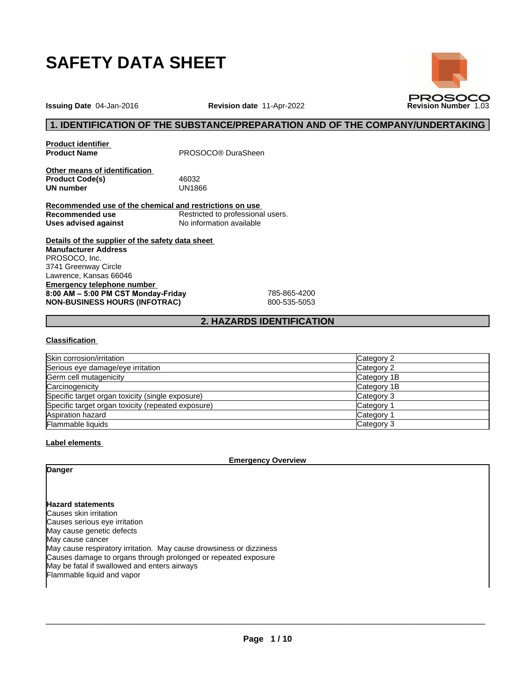

**Issuing Date** 04-Jan-2016 **Revision date** 11-Apr-2022 **Revision Number** 1.03

# **1. IDENTIFICATION OF THE SUBSTANCE/PREPARATION AND OF THE COMPANY/UNDERTAKING**

**Product identifier**

**Product Name** PROSOCO® DuraSheen

**Other means of identification** Product Code(s) 46032<br> **UN number** UN1866 **UN number** 

**Recommended use of the chemical and restrictions on use Recommended use**<br> **Uses advised against**<br>
No information available **No information available** 

**Details of the supplier of the safety data sheet Emergency telephone number 8:00AM–5:00PMCSTMonday-Friday** 785-865-4200 **NON-BUSINESS HOURS (INFOTRAC)** 800-535-5053 **Manufacturer Address** PROSOCO, Inc. 3741 Greenway Circle Lawrence, Kansas 66046

# **2. HAZARDS IDENTIFICATION**

#### **Classification**

| Skin corrosion/irritation                          | Category 2  |
|----------------------------------------------------|-------------|
| Serious eye damage/eye irritation                  | Category 2  |
| Germ cell mutagenicity                             | Category 1B |
| Carcinogenicity                                    | Category 1B |
| Specific target organ toxicity (single exposure)   | Category 3  |
| Specific target organ toxicity (repeated exposure) | Category    |
| Aspiration hazard                                  | Category 1  |
| <b>Flammable liquids</b>                           | Category 3  |

#### **Label elements**

**Emergency Overview**

**Danger**

**Hazard statements** Causes skin irritation Causes serious eye irritation May cause genetic defects May cause cancer May cause respiratory irritation. May cause drowsiness or dizziness Causes damage to organs through prolonged or repeated exposure May be fatal if swallowed and enters airways Flammable liquid and vapor

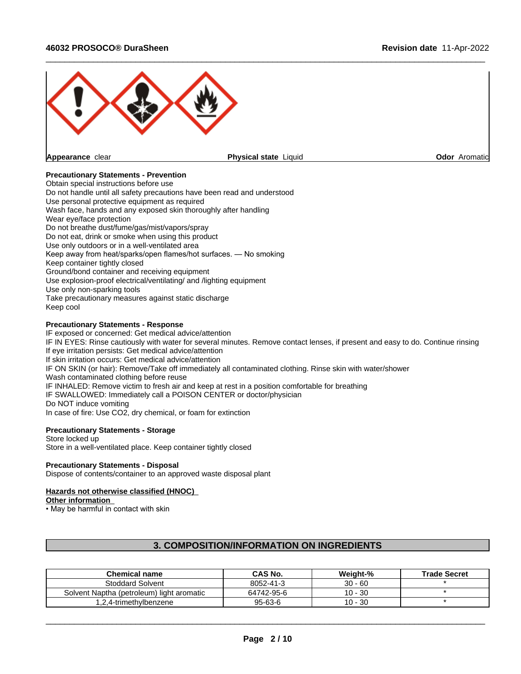

### **Precautionary Statements - Prevention**

Obtain special instructions before use Do not handle until all safety precautions have been read and understood Use personal protective equipment as required Wash face, hands and any exposed skin thoroughly after handling Wear eye/face protection Do not breathe dust/fume/gas/mist/vapors/spray Do not eat, drink or smoke when using this product Use only outdoors or in a well-ventilated area Keep away from heat/sparks/open flames/hot surfaces. — No smoking Keep container tightly closed Ground/bond container and receiving equipment Use explosion-proof electrical/ventilating/ and /lighting equipment Use only non-sparking tools Take precautionary measures against static discharge Keep cool

#### **Precautionary Statements - Response**

IF exposed or concerned: Get medical advice/attention IF IN EYES: Rinse cautiously with water for several minutes. Remove contact lenses, if present and easy to do. Continue rinsing If eye irritation persists: Get medical advice/attention If skin irritation occurs: Get medical advice/attention IF ON SKIN (or hair): Remove/Take off immediately all contaminated clothing. Rinse skin with water/shower Wash contaminated clothing before reuse IF INHALED: Remove victim to fresh air and keep at rest in a position comfortable for breathing IF SWALLOWED: Immediately call a POISON CENTER or doctor/physician Do NOT induce vomiting In case of fire: Use CO2, dry chemical, or foam for extinction

# **Precautionary Statements - Storage**

Store locked up Store in a well-ventilated place. Keep container tightly closed

#### **Precautionary Statements - Disposal**

Dispose of contents/container to an approved waste disposal plant

#### **Hazards not otherwise classified (HNOC)**

#### **Other information**

• May be harmful in contact with skin

# **3. COMPOSITION/INFORMATION ON INGREDIENTS**

| <b>Chemical name</b>                      | CAS No.       | Weiaht-%  | <b>Trade Secret</b> |
|-------------------------------------------|---------------|-----------|---------------------|
| Stoddard Solvent                          | 8052-41-3     | $30 - 60$ |                     |
| Solvent Naptha (petroleum) light aromatic | 64742-95-6    | $10 - 30$ |                     |
| 1.2.4-trimethvlbenzene                    | $95 - 63 - 6$ | $10 - 30$ |                     |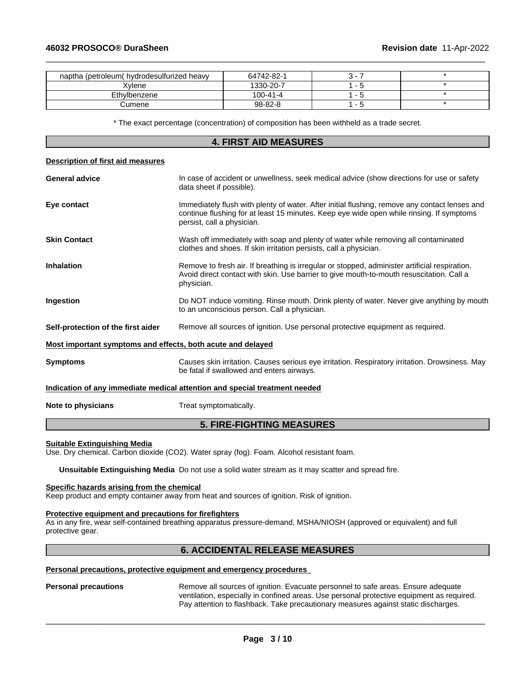**Description of first aid measures**

| naptha (petroleum) hydrodesulfurized heavy | 64742-82-1     |  |
|--------------------------------------------|----------------|--|
| Kvlene                                     | 1330-20-7      |  |
| Ethylbenzene                               | $100 - 41 - 4$ |  |
| Cumene ∶                                   | 98-82-8        |  |

 $\_$  ,  $\_$  ,  $\_$  ,  $\_$  ,  $\_$  ,  $\_$  ,  $\_$  ,  $\_$  ,  $\_$  ,  $\_$  ,  $\_$  ,  $\_$  ,  $\_$  ,  $\_$  ,  $\_$  ,  $\_$  ,  $\_$  ,  $\_$  ,  $\_$  ,  $\_$  ,  $\_$  ,  $\_$  ,  $\_$  ,  $\_$  ,  $\_$  ,  $\_$  ,  $\_$  ,  $\_$  ,  $\_$  ,  $\_$  ,  $\_$  ,  $\_$  ,  $\_$  ,  $\_$  ,  $\_$  ,  $\_$  ,  $\_$  ,

\* The exact percentage (concentration) ofcomposition has been withheld as a trade secret.

# **4. FIRST AID MEASURES**

| Description of first ald measures                           |                                                                                                                                                                                                                         |
|-------------------------------------------------------------|-------------------------------------------------------------------------------------------------------------------------------------------------------------------------------------------------------------------------|
| <b>General advice</b>                                       | In case of accident or unwellness, seek medical advice (show directions for use or safety<br>data sheet if possible).                                                                                                   |
| Eye contact                                                 | Immediately flush with plenty of water. After initial flushing, remove any contact lenses and<br>continue flushing for at least 15 minutes. Keep eye wide open while rinsing. If symptoms<br>persist, call a physician. |
| <b>Skin Contact</b>                                         | Wash off immediately with soap and plenty of water while removing all contaminated<br>clothes and shoes. If skin irritation persists, call a physician.                                                                 |
| <b>Inhalation</b>                                           | Remove to fresh air. If breathing is irregular or stopped, administer artificial respiration.<br>Avoid direct contact with skin. Use barrier to give mouth-to-mouth resuscitation. Call a<br>physician.                 |
| Ingestion                                                   | Do NOT induce vomiting. Rinse mouth. Drink plenty of water. Never give anything by mouth<br>to an unconscious person. Call a physician.                                                                                 |
| Self-protection of the first aider                          | Remove all sources of ignition. Use personal protective equipment as required.                                                                                                                                          |
| Most important symptoms and effects, both acute and delayed |                                                                                                                                                                                                                         |
| <b>Symptoms</b>                                             | Causes skin irritation. Causes serious eye irritation. Respiratory irritation. Drowsiness. May<br>be fatal if swallowed and enters airways.                                                                             |
|                                                             | Indication of any immediate medical attention and special treatment needed                                                                                                                                              |
| Note to physicians                                          | Treat symptomatically.                                                                                                                                                                                                  |
|                                                             |                                                                                                                                                                                                                         |

# **5. FIRE-FIGHTING MEASURES**

#### **Suitable Extinguishing Media**

Use. Dry chemical. Carbon dioxide (CO2). Water spray (fog). Foam. Alcohol resistant foam.

**Unsuitable Extinguishing Media** Do not use a solid water stream as it may scatterand spread fire.

#### **Specific hazards arising from the chemical**

Keep product and empty container away from heat and sources of ignition. Risk of ignition.

#### **Protective equipment and precautions for firefighters**

As in any fire, wear self-contained breathing apparatus pressure-demand, MSHA/NIOSH (approved or equivalent) and full protective gear.

# **6. ACCIDENTAL RELEASE MEASURES**

#### **Personal precautions, protective equipment and emergency procedures**

**Personal precautions** Remove all sources of ignition. Evacuate personnel to safe areas. Ensure adequate ventilation, especially in confined areas. Use personal protective equipment as required.<br>Pay attention to flashback. Take precautionary measures against static discharges.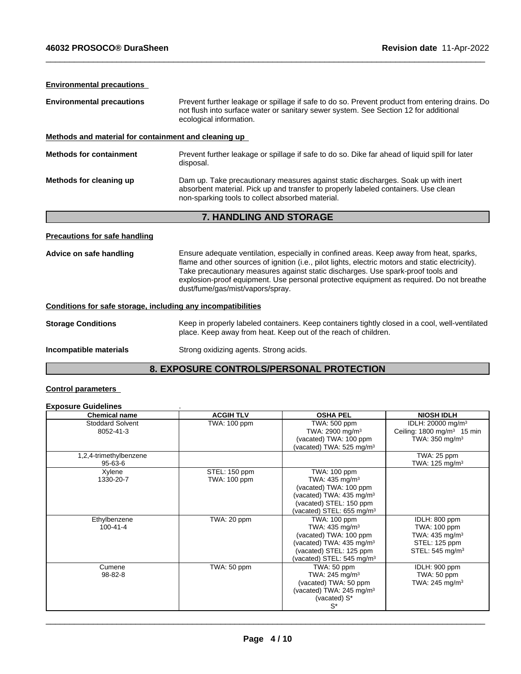# **Environmental precautions**

| <b>Environmental precautions</b>                                                                                                              | Prevent further leakage or spillage if safe to do so. Prevent product from entering drains. Do<br>not flush into surface water or sanitary sewer system. See Section 12 for additional<br>ecological information.                                                                                                                                                                                                |  |  |
|-----------------------------------------------------------------------------------------------------------------------------------------------|------------------------------------------------------------------------------------------------------------------------------------------------------------------------------------------------------------------------------------------------------------------------------------------------------------------------------------------------------------------------------------------------------------------|--|--|
| Methods and material for containment and cleaning up                                                                                          |                                                                                                                                                                                                                                                                                                                                                                                                                  |  |  |
| <b>Methods for containment</b><br>Prevent further leakage or spillage if safe to do so. Dike far ahead of liquid spill for later<br>disposal. |                                                                                                                                                                                                                                                                                                                                                                                                                  |  |  |
| Methods for cleaning up                                                                                                                       | Dam up. Take precautionary measures against static discharges. Soak up with inert<br>absorbent material. Pick up and transfer to properly labeled containers. Use clean<br>non-sparking tools to collect absorbed material.                                                                                                                                                                                      |  |  |
|                                                                                                                                               | 7. HANDLING AND STORAGE                                                                                                                                                                                                                                                                                                                                                                                          |  |  |
| Precautions for safe handling                                                                                                                 |                                                                                                                                                                                                                                                                                                                                                                                                                  |  |  |
| Advice on safe handling                                                                                                                       | Ensure adequate ventilation, especially in confined areas. Keep away from heat, sparks,<br>flame and other sources of ignition (i.e., pilot lights, electric motors and static electricity).<br>Take precautionary measures against static discharges. Use spark-proof tools and<br>explosion-proof equipment. Use personal protective equipment as required. Do not breathe<br>dust/fume/gas/mist/vapors/spray. |  |  |
| Conditions for safe storage, including any incompatibilities                                                                                  |                                                                                                                                                                                                                                                                                                                                                                                                                  |  |  |
| <b>Storage Conditions</b>                                                                                                                     | Keep in properly labeled containers. Keep containers tightly closed in a cool, well-ventilated<br>place. Keep away from heat. Keep out of the reach of children.                                                                                                                                                                                                                                                 |  |  |
|                                                                                                                                               |                                                                                                                                                                                                                                                                                                                                                                                                                  |  |  |

 $\_$  ,  $\_$  ,  $\_$  ,  $\_$  ,  $\_$  ,  $\_$  ,  $\_$  ,  $\_$  ,  $\_$  ,  $\_$  ,  $\_$  ,  $\_$  ,  $\_$  ,  $\_$  ,  $\_$  ,  $\_$  ,  $\_$  ,  $\_$  ,  $\_$  ,  $\_$  ,  $\_$  ,  $\_$  ,  $\_$  ,  $\_$  ,  $\_$  ,  $\_$  ,  $\_$  ,  $\_$  ,  $\_$  ,  $\_$  ,  $\_$  ,  $\_$  ,  $\_$  ,  $\_$  ,  $\_$  ,  $\_$  ,  $\_$  ,

# **8. EXPOSURE CONTROLS/PERSONAL PROTECTION**

# **Control parameters**

#### **Exposure Guidelines** .

| <b>Chemical name</b>                 | <b>ACGIH TLV</b> | <b>OSHA PEL</b>                       | <b>NIOSH IDLH</b>                      |
|--------------------------------------|------------------|---------------------------------------|----------------------------------------|
| <b>Stoddard Solvent</b><br>8052-41-3 | TWA: 100 ppm     | TWA: 500 ppm                          | IDLH: 20000 mg/m <sup>3</sup>          |
|                                      |                  | TWA: 2900 mg/m <sup>3</sup>           | Ceiling: 1800 mg/m <sup>3</sup> 15 min |
|                                      |                  | (vacated) TWA: 100 ppm                | TWA: $350 \text{ mg/m}^3$              |
|                                      |                  | (vacated) TWA: $525 \text{ mg/m}^3$   |                                        |
| 1,2,4-trimethylbenzene               |                  |                                       | TWA: 25 ppm                            |
| 95-63-6                              |                  |                                       | TWA: $125 \text{ mg/m}^3$              |
| Xylene                               | STEL: 150 ppm    | TWA: 100 ppm                          |                                        |
| 1330-20-7                            | TWA: 100 ppm     | TWA: $435 \text{ mg/m}^3$             |                                        |
|                                      |                  | (vacated) TWA: 100 ppm                |                                        |
|                                      |                  | (vacated) TWA: $435 \text{ mg/m}^3$   |                                        |
|                                      |                  | (vacated) STEL: 150 ppm               |                                        |
|                                      |                  | (vacated) STEL: 655 mg/m <sup>3</sup> |                                        |
| Ethylbenzene                         | TWA: 20 ppm      | TWA: 100 ppm                          | IDLH: 800 ppm                          |
| 100-41-4                             |                  | TWA: $435 \text{ mg/m}^3$             | TWA: 100 ppm                           |
|                                      |                  | (vacated) TWA: 100 ppm                | TWA: $435 \text{ mg/m}^3$              |
|                                      |                  | (vacated) TWA: $435 \text{ mg/m}^3$   | STEL: 125 ppm                          |
|                                      |                  | (vacated) STEL: 125 ppm               | STEL: $545 \text{ mg/m}^3$             |
|                                      |                  | vacated) STEL: 545 mg/m <sup>3</sup>  |                                        |
| Cumene                               | TWA: 50 ppm      | TWA: 50 ppm                           | IDLH: 900 ppm                          |
| 98-82-8                              |                  | TWA: 245 mg/m <sup>3</sup>            | TWA: 50 ppm                            |
|                                      |                  | (vacated) TWA: 50 ppm                 | TWA: $245 \text{ mg/m}^3$              |
|                                      |                  | (vacated) TWA: 245 mg/m <sup>3</sup>  |                                        |
|                                      |                  | (vacated) S*                          |                                        |
|                                      |                  | S*                                    |                                        |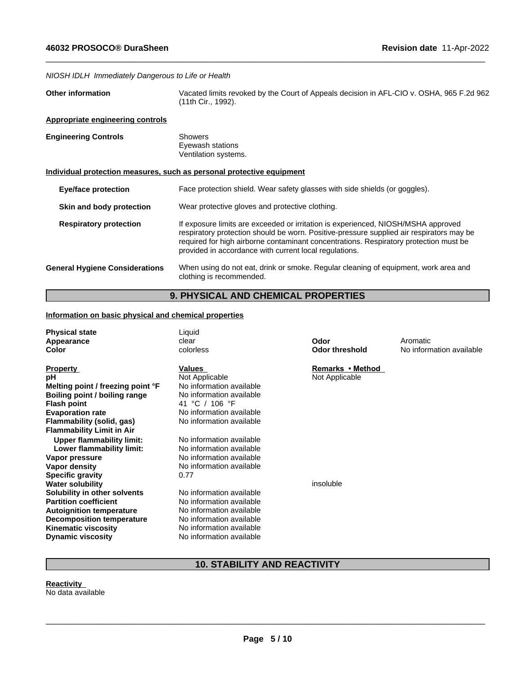*NIOSH IDLH Immediately Dangerous to Life or Health*

| <b>Other information</b> | Vacated limits revoked by the Court of Appeals decision in AFL-CIO v. OSHA, 965 F.2d 962 |
|--------------------------|------------------------------------------------------------------------------------------|
|                          | (11th Cir., 1992).                                                                       |

 $\_$  ,  $\_$  ,  $\_$  ,  $\_$  ,  $\_$  ,  $\_$  ,  $\_$  ,  $\_$  ,  $\_$  ,  $\_$  ,  $\_$  ,  $\_$  ,  $\_$  ,  $\_$  ,  $\_$  ,  $\_$  ,  $\_$  ,  $\_$  ,  $\_$  ,  $\_$  ,  $\_$  ,  $\_$  ,  $\_$  ,  $\_$  ,  $\_$  ,  $\_$  ,  $\_$  ,  $\_$  ,  $\_$  ,  $\_$  ,  $\_$  ,  $\_$  ,  $\_$  ,  $\_$  ,  $\_$  ,  $\_$  ,  $\_$  ,

#### **Appropriate engineering controls**

| <b>Engineering Controls</b> | Showers<br>Eyewash stations |
|-----------------------------|-----------------------------|
|                             | Ventilation systems.        |

### **Individual protection measures, such as personal protective equipment**

| <b>Eye/face protection</b> |  | Face protection shield. Wear safety glasses with side shields (or goggles). |  |
|----------------------------|--|-----------------------------------------------------------------------------|--|
|----------------------------|--|-----------------------------------------------------------------------------|--|

- **Skin and body protection** Wear protective gloves and protective clothing.
- **Respiratory protection** If exposure limits are exceeded or irritation is experienced, NIOSH/MSHA approved respiratory protection should be worn. Positive-pressure supplied air respirators may be required for high airborne contaminant concentrations. Respiratory protection must be provided in accordance with current local regulations.

**General Hygiene Considerations** When using do not eat, drink or smoke. Regular cleaning of equipment, work area and clothing is recommended.

# **9. PHYSICAL AND CHEMICAL PROPERTIES**

### **Information on basic physical and chemical properties**

| <b>Physical state</b>             | Liquid                   |                       |                          |
|-----------------------------------|--------------------------|-----------------------|--------------------------|
| Appearance                        | clear                    | Odor                  | Aromatic                 |
| Color                             | colorless                | <b>Odor threshold</b> | No information available |
|                                   |                          |                       |                          |
| <b>Property</b>                   | Values                   | Remarks • Method      |                          |
| рH                                | Not Applicable           | Not Applicable        |                          |
| Melting point / freezing point °F | No information available |                       |                          |
| Boiling point / boiling range     | No information available |                       |                          |
| <b>Flash point</b>                | 41 °C / 106 °F           |                       |                          |
| <b>Evaporation rate</b>           | No information available |                       |                          |
| Flammability (solid, gas)         | No information available |                       |                          |
| <b>Flammability Limit in Air</b>  |                          |                       |                          |
| <b>Upper flammability limit:</b>  | No information available |                       |                          |
| Lower flammability limit:         | No information available |                       |                          |
| Vapor pressure                    | No information available |                       |                          |
| Vapor density                     | No information available |                       |                          |
| <b>Specific gravity</b>           | 0.77                     |                       |                          |
| <b>Water solubility</b>           |                          | insoluble             |                          |
| Solubility in other solvents      | No information available |                       |                          |
| <b>Partition coefficient</b>      | No information available |                       |                          |
| <b>Autoignition temperature</b>   | No information available |                       |                          |
| <b>Decomposition temperature</b>  | No information available |                       |                          |
| <b>Kinematic viscosity</b>        | No information available |                       |                          |
| <b>Dynamic viscosity</b>          | No information available |                       |                          |

# **10. STABILITY AND REACTIVITY**

**Reactivity** No data available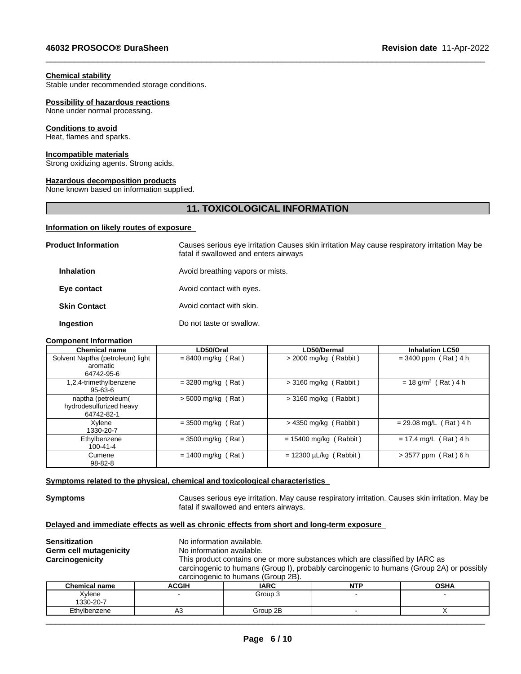#### **Chemical stability**

Stable under recommended storage conditions.

#### **Possibility of hazardous reactions**

None under normal processing.

#### **Conditions to avoid**

Heat, flames and sparks.

#### **Incompatible materials**

Strong oxidizing agents. Strong acids.

#### **Hazardous decomposition products**

None known based on information supplied.

# **11. TOXICOLOGICAL INFORMATION**

 $\_$  ,  $\_$  ,  $\_$  ,  $\_$  ,  $\_$  ,  $\_$  ,  $\_$  ,  $\_$  ,  $\_$  ,  $\_$  ,  $\_$  ,  $\_$  ,  $\_$  ,  $\_$  ,  $\_$  ,  $\_$  ,  $\_$  ,  $\_$  ,  $\_$  ,  $\_$  ,  $\_$  ,  $\_$  ,  $\_$  ,  $\_$  ,  $\_$  ,  $\_$  ,  $\_$  ,  $\_$  ,  $\_$  ,  $\_$  ,  $\_$  ,  $\_$  ,  $\_$  ,  $\_$  ,  $\_$  ,  $\_$  ,  $\_$  ,

#### **Information on likely routes of exposure**

| <b>Product Information</b> | Causes serious eye irritation Causes skin irritation May cause respiratory irritation May be<br>fatal if swallowed and enters airways |
|----------------------------|---------------------------------------------------------------------------------------------------------------------------------------|
| <b>Inhalation</b>          | Avoid breathing vapors or mists.                                                                                                      |
| Eye contact                | Avoid contact with eyes.                                                                                                              |
| <b>Skin Contact</b>        | Avoid contact with skin.                                                                                                              |
| Ingestion                  | Do not taste or swallow.                                                                                                              |

#### **Component Information**

| <b>Chemical name</b>                                        | LD50/Oral            | LD50/Dermal                 | <b>Inhalation LC50</b>            |
|-------------------------------------------------------------|----------------------|-----------------------------|-----------------------------------|
| Solvent Naptha (petroleum) light<br>aromatic<br>64742-95-6  | $= 8400$ mg/kg (Rat) | $>$ 2000 mg/kg (Rabbit)     | $= 3400$ ppm (Rat) 4 h            |
| 1,2,4-trimethylbenzene<br>$95 - 63 - 6$                     | $= 3280$ mg/kg (Rat) | $>$ 3160 mg/kg (Rabbit)     | $= 18$ g/m <sup>3</sup> (Rat) 4 h |
| naptha (petroleum)<br>hydrodesulfurized heavy<br>64742-82-1 | $>$ 5000 mg/kg (Rat) | $>$ 3160 mg/kg (Rabbit)     |                                   |
| Xvlene<br>1330-20-7                                         | $=$ 3500 mg/kg (Rat) | $>$ 4350 mg/kg (Rabbit)     | $= 29.08$ mg/L (Rat) 4 h          |
| Ethylbenzene<br>$100 - 41 - 4$                              | $=$ 3500 mg/kg (Rat) | $= 15400$ mg/kg (Rabbit)    | $= 17.4$ mg/L (Rat) 4 h           |
| Cumene<br>$98 - 82 - 8$                                     | $= 1400$ mg/kg (Rat) | $= 12300 \mu L/kg$ (Rabbit) | $> 3577$ ppm (Rat) 6 h            |

#### **<u>Symptoms related to the physical, chemical and toxicological characteristics</u>**

**Symptoms Causes serious eye irritation. May cause respiratory irritation. Causes skin irritation. May be** fatal if swallowed and enters airways.

# **Delayed and immediate effects as well as chronic effects from short and long-term exposure**

**Sensitization** No information available. **Germ cell mutagenicity** No information available. **Carcinogenicity** This product contains one ormore substances which are classified by IARC as carcinogenic to humans (Group I), probably carcinogenic to humans (Group 2A) or possibly carcinogenic to humans (Group 2B). **Chemical name ACGIH IARC NTP OSHA**

| <b>Chemical name</b> | ACGIH | .<br>IARU | мто<br>14 L | <b>OSHA</b> |
|----------------------|-------|-----------|-------------|-------------|
| Xylene               |       | Group 3   |             |             |
| 1330-20-7            |       |           |             |             |
| Ethylbenzene         | ∪ר    | Group 2B  |             |             |
|                      |       |           |             |             |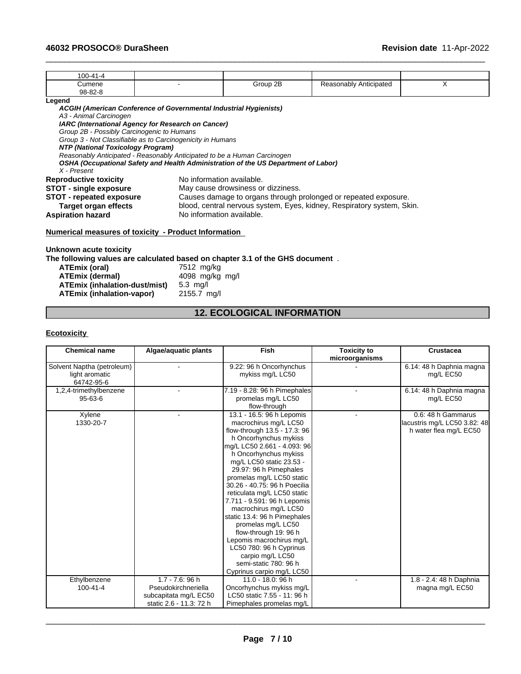| 100-41-4                                                                                                                                                                                                                             |   |
|--------------------------------------------------------------------------------------------------------------------------------------------------------------------------------------------------------------------------------------|---|
| Group 2B<br>Reasonably Anticipated<br>Cumene                                                                                                                                                                                         | X |
| $98 - 82 - 8$                                                                                                                                                                                                                        |   |
| Legend                                                                                                                                                                                                                               |   |
| ACGIH (American Conference of Governmental Industrial Hygienists)                                                                                                                                                                    |   |
| A3 - Animal Carcinogen                                                                                                                                                                                                               |   |
| IARC (International Agency for Research on Cancer)                                                                                                                                                                                   |   |
| Group 2B - Possibly Carcinogenic to Humans                                                                                                                                                                                           |   |
| Group 3 - Not Classifiable as to Carcinogenicity in Humans                                                                                                                                                                           |   |
| NTP (National Toxicology Program)                                                                                                                                                                                                    |   |
| Reasonably Anticipated - Reasonably Anticipated to be a Human Carcinogen                                                                                                                                                             |   |
| OSHA (Occupational Safety and Health Administration of the US Department of Labor)                                                                                                                                                   |   |
| X - Present                                                                                                                                                                                                                          |   |
| No information available.<br><b>Reproductive toxicity</b>                                                                                                                                                                            |   |
| <b>STOT - single exposure</b><br>May cause drowsiness or dizziness.                                                                                                                                                                  |   |
| <b>STOT - repeated exposure</b><br>Causes damage to organs through prolonged or repeated exposure.                                                                                                                                   |   |
| blood, central nervous system, Eyes, kidney, Respiratory system, Skin.<br><b>Target organ effects</b>                                                                                                                                |   |
| No information available.<br><b>Aspiration hazard</b>                                                                                                                                                                                |   |
| $\mathbf{A}$ . The set of the set of the set of the set of $\mathbf{B}$ , and the set of the set of the set of the set of the set of the set of the set of the set of the set of the set of the set of the set of the set of the set |   |

 $\_$  ,  $\_$  ,  $\_$  ,  $\_$  ,  $\_$  ,  $\_$  ,  $\_$  ,  $\_$  ,  $\_$  ,  $\_$  ,  $\_$  ,  $\_$  ,  $\_$  ,  $\_$  ,  $\_$  ,  $\_$  ,  $\_$  ,  $\_$  ,  $\_$  ,  $\_$  ,  $\_$  ,  $\_$  ,  $\_$  ,  $\_$  ,  $\_$  ,  $\_$  ,  $\_$  ,  $\_$  ,  $\_$  ,  $\_$  ,  $\_$  ,  $\_$  ,  $\_$  ,  $\_$  ,  $\_$  ,  $\_$  ,  $\_$  ,

#### **Numerical measures of toxicity - Product Information**

**Unknown acute toxicity**

**The following values are calculated based on chapter 3.1 of the GHS document** .

| ATEmix (oral)                 | 7512 mg/kg         |
|-------------------------------|--------------------|
| ATEmix (dermal)               | 4098 mg/kg mg/l    |
| ATEmix (inhalation-dust/mist) | $5.3 \text{ ma/l}$ |
| ATEmix (inhalation-vapor)     | 2155.7 mg/l        |

# **12. ECOLOGICAL INFORMATION**

### **Ecotoxicity**

| <b>Chemical name</b>                                       | Algae/aquatic plants                                                                          | Fish                                                                                                                                                                                                                                                                                                                                                                                                                                                                                                                                                             | <b>Toxicity to</b><br>microorganisms | Crustacea                                                                    |
|------------------------------------------------------------|-----------------------------------------------------------------------------------------------|------------------------------------------------------------------------------------------------------------------------------------------------------------------------------------------------------------------------------------------------------------------------------------------------------------------------------------------------------------------------------------------------------------------------------------------------------------------------------------------------------------------------------------------------------------------|--------------------------------------|------------------------------------------------------------------------------|
| Solvent Naptha (petroleum)<br>light aromatic<br>64742-95-6 |                                                                                               | 9.22: 96 h Oncorhynchus<br>mykiss mg/L LC50                                                                                                                                                                                                                                                                                                                                                                                                                                                                                                                      |                                      | 6.14: 48 h Daphnia magna<br>mg/L EC50                                        |
| 1,2,4-trimethylbenzene<br>$95 - 63 - 6$                    |                                                                                               | 7.19 - 8.28: 96 h Pimephales<br>promelas mg/L LC50<br>flow-through                                                                                                                                                                                                                                                                                                                                                                                                                                                                                               |                                      | 6.14: 48 h Daphnia magna<br>mg/L EC50                                        |
| Xylene<br>1330-20-7                                        |                                                                                               | 13.1 - 16.5: 96 h Lepomis<br>macrochirus mg/L LC50<br>flow-through 13.5 - 17.3: 96<br>h Oncorhynchus mykiss<br>mg/L LC50 2.661 - 4.093: 96<br>h Oncorhynchus mykiss<br>mg/L LC50 static 23.53 -<br>29.97: 96 h Pimephales<br>promelas mg/L LC50 static<br>30.26 - 40.75: 96 h Poecilia<br>reticulata mg/L LC50 static<br>7.711 - 9.591: 96 h Lepomis<br>macrochirus mg/L LC50<br>static 13.4: 96 h Pimephales<br>promelas mg/L LC50<br>flow-through 19: 96 h<br>Lepomis macrochirus mg/L<br>LC50 780: 96 h Cyprinus<br>carpio mg/L LC50<br>semi-static 780: 96 h |                                      | 0.6: 48 h Gammarus<br>lacustris mg/L LC50 3.82: 48<br>h water flea mg/L EC50 |
| Ethylbenzene<br>$100 - 41 - 4$                             | $1.7 - 7.6$ : 96 h<br>Pseudokirchneriella<br>subcapitata mg/L EC50<br>static 2.6 - 11.3: 72 h | Cyprinus carpio mg/L LC50<br>11.0 - 18.0: 96 h<br>Oncorhynchus mykiss mg/L<br>LC50 static 7.55 - 11: 96 h<br>Pimephales promelas mg/L                                                                                                                                                                                                                                                                                                                                                                                                                            |                                      | 1.8 - 2.4: 48 h Daphnia<br>magna mg/L EC50                                   |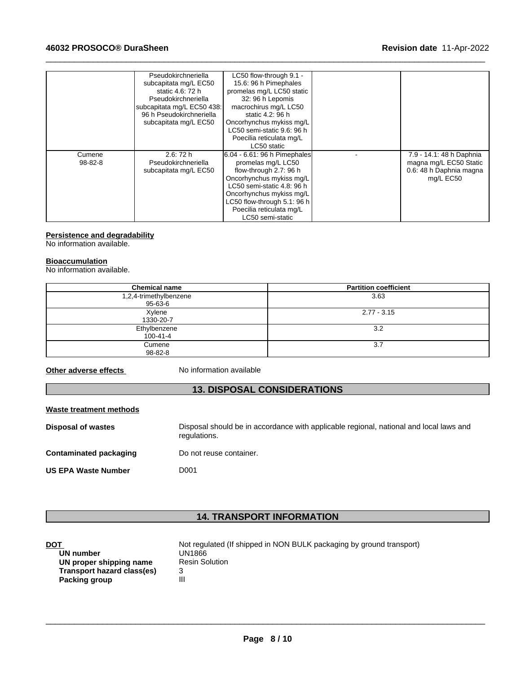|         | Pseudokirchneriella        | LC50 flow-through 9.1 -      |                          |  |
|---------|----------------------------|------------------------------|--------------------------|--|
|         | subcapitata mg/L EC50      | 15.6: 96 h Pimephales        |                          |  |
|         | static 4.6: 72 h           | promelas mg/L LC50 static    |                          |  |
|         | Pseudokirchneriella        | 32: 96 h Lepomis             |                          |  |
|         | subcapitata mg/L EC50 438: | macrochirus mg/L LC50        |                          |  |
|         | 96 h Pseudokirchneriella   | static 4.2: 96 h             |                          |  |
|         | subcapitata mg/L EC50      | Oncorhynchus mykiss mg/L     |                          |  |
|         |                            | LC50 semi-static 9.6: 96 h   |                          |  |
|         |                            | Poecilia reticulata mg/L     |                          |  |
|         |                            | LC50 static                  |                          |  |
| Cumene  | 2.6:72h                    | 6.04 - 6.61: 96 h Pimephales | 7.9 - 14.1: 48 h Daphnia |  |
| 98-82-8 | Pseudokirchneriella        | promelas mg/L LC50           | magna mg/L EC50 Static   |  |
|         | subcapitata mg/L EC50      | flow-through 2.7: 96 h       | 0.6: 48 h Daphnia magna  |  |
|         |                            | Oncorhynchus mykiss mg/L     | mg/L EC50                |  |
|         |                            | LC50 semi-static 4.8: 96 h   |                          |  |
|         |                            | Oncorhynchus mykiss mg/L     |                          |  |
|         |                            | LC50 flow-through 5.1: 96 h  |                          |  |
|         |                            | Poecilia reticulata mg/L     |                          |  |
|         |                            | LC50 semi-static             |                          |  |

 $\_$  ,  $\_$  ,  $\_$  ,  $\_$  ,  $\_$  ,  $\_$  ,  $\_$  ,  $\_$  ,  $\_$  ,  $\_$  ,  $\_$  ,  $\_$  ,  $\_$  ,  $\_$  ,  $\_$  ,  $\_$  ,  $\_$  ,  $\_$  ,  $\_$  ,  $\_$  ,  $\_$  ,  $\_$  ,  $\_$  ,  $\_$  ,  $\_$  ,  $\_$  ,  $\_$  ,  $\_$  ,  $\_$  ,  $\_$  ,  $\_$  ,  $\_$  ,  $\_$  ,  $\_$  ,  $\_$  ,  $\_$  ,  $\_$  ,

#### **Persistence and degradability**

No information available.

### **Bioaccumulation**

No information available.

| <b>Chemical name</b>   | <b>Partition coefficient</b> |
|------------------------|------------------------------|
| 1,2,4-trimethylbenzene | 3.63                         |
| 95-63-6                |                              |
| Xylene                 | $2.77 - 3.15$                |
| 1330-20-7              |                              |
| Ethylbenzene           | 3.2                          |
| $100 - 41 - 4$         |                              |
| Cumene                 | 3.7                          |
| 98-82-8                |                              |

**Other adverse effects** No information available

# **13. DISPOSAL CONSIDERATIONS**

### **Waste treatment methods**

| <b>Disposal of wastes</b>  | Disposal should be in accordance with applicable regional, national and local laws and<br>regulations. |
|----------------------------|--------------------------------------------------------------------------------------------------------|
| Contaminated packaging     | Do not reuse container.                                                                                |
| <b>US EPA Waste Number</b> | D001                                                                                                   |

# **14. TRANSPORT INFORMATION**

| DOT                        | Not regulated (If shipped in NON BULK packaging by ground transport) |
|----------------------------|----------------------------------------------------------------------|
| UN number                  | UN1866                                                               |
| UN proper shipping name    | <b>Resin Solution</b>                                                |
| Transport hazard class(es) |                                                                      |
| Packing group              | Ш                                                                    |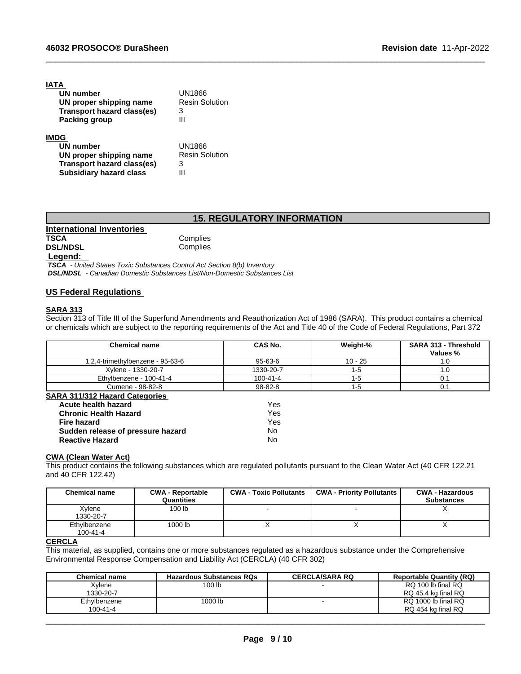| IATA                              |                       |
|-----------------------------------|-----------------------|
| UN number                         | UN1866                |
| UN proper shipping name           | <b>Resin Solution</b> |
| <b>Transport hazard class(es)</b> | 3                     |
| Packing group                     | Ш                     |
| <b>IMDG</b>                       |                       |
| UN number                         | UN1866                |
| UN proper shipping name           | <b>Resin Solution</b> |
| <b>Transport hazard class(es)</b> | 3                     |
| <b>Subsidiary hazard class</b>    | Ш                     |
|                                   |                       |

# **15. REGULATORY INFORMATION**

 $\_$  ,  $\_$  ,  $\_$  ,  $\_$  ,  $\_$  ,  $\_$  ,  $\_$  ,  $\_$  ,  $\_$  ,  $\_$  ,  $\_$  ,  $\_$  ,  $\_$  ,  $\_$  ,  $\_$  ,  $\_$  ,  $\_$  ,  $\_$  ,  $\_$  ,  $\_$  ,  $\_$  ,  $\_$  ,  $\_$  ,  $\_$  ,  $\_$  ,  $\_$  ,  $\_$  ,  $\_$  ,  $\_$  ,  $\_$  ,  $\_$  ,  $\_$  ,  $\_$  ,  $\_$  ,  $\_$  ,  $\_$  ,  $\_$  ,

| International Inventories |          |  |
|---------------------------|----------|--|
| <b>TSCA</b>               | Complies |  |
| <b>DSL/NDSL</b>           | Complies |  |
| <b>1.</b> against         |          |  |

 **Legend:** 

 *TSCA - United States Toxic Substances Control Act Section 8(b) Inventory DSL/NDSL - Canadian Domestic Substances List/Non-Domestic Substances List*

**Sudden release of pressure hazard** No **Reactive Hazard** No

#### **US Federal Regulations**

#### **SARA 313**

Section 313 of Title III of the Superfund Amendments and Reauthorization Act of 1986 (SARA). This product contains a chemical or chemicals which are subject to the reporting requirements of the Act and Title 40 of the Code of Federal Regulations, Part 372

| <b>Chemical name</b>                  | CAS No.        | Weight-%  | <b>SARA 313 - Threshold</b><br>Values % |
|---------------------------------------|----------------|-----------|-----------------------------------------|
| 1,2,4-trimethylbenzene - 95-63-6      | 95-63-6        | $10 - 25$ | 1.0                                     |
| Xylene - 1330-20-7                    | 1330-20-7      | -5        | 1.0                                     |
| Ethylbenzene - 100-41-4               | $100 - 41 - 4$ | -5        | 0.1                                     |
| Cumene - 98-82-8                      | 98-82-8        | -5        | 0.1                                     |
| <b>SARA 311/312 Hazard Categories</b> |                |           |                                         |
| Acute health hazard                   | Yes            |           |                                         |
| <b>Chronic Health Hazard</b>          | Yes            |           |                                         |
| <b>Fire hazard</b>                    | Yes            |           |                                         |

# **CWA** (Clean Water Act)

This product contains the following substances which are regulated pollutants pursuant to the Clean Water Act (40 CFR 122.21 and 40 CFR 122.42)

| <b>Chemical name</b>           | <b>CWA - Reportable</b><br>Quantities | <b>CWA - Toxic Pollutants</b> | <b>CWA - Priority Pollutants</b> | <b>CWA - Hazardous</b><br><b>Substances</b> |
|--------------------------------|---------------------------------------|-------------------------------|----------------------------------|---------------------------------------------|
| Xvlene<br>1330-20-7            | 100 lb                                |                               |                                  |                                             |
| Ethylbenzene<br>$100 - 41 - 4$ | 1000 lb                               |                               | $\lambda$                        |                                             |

### **CERCLA**

This material, as supplied, contains one or more substances regulated as a hazardous substance under the Comprehensive Environmental Response Compensation and Liability Act (CERCLA) (40 CFR 302)

| <b>Chemical name</b> | <b>Hazardous Substances RQs</b> | <b>CERCLA/SARA RQ</b> | <b>Reportable Quantity (RQ)</b> |
|----------------------|---------------------------------|-----------------------|---------------------------------|
| Xvlene               | 100 lb                          |                       | RQ 100 lb final RQ              |
| 1330-20-7            |                                 |                       | RQ 45.4 kg final RQ             |
| Ethylbenzene         | 1000 lb                         |                       | RQ 1000 lb final RQ             |
| 100-41-4             |                                 |                       | RQ 454 kg final RQ              |